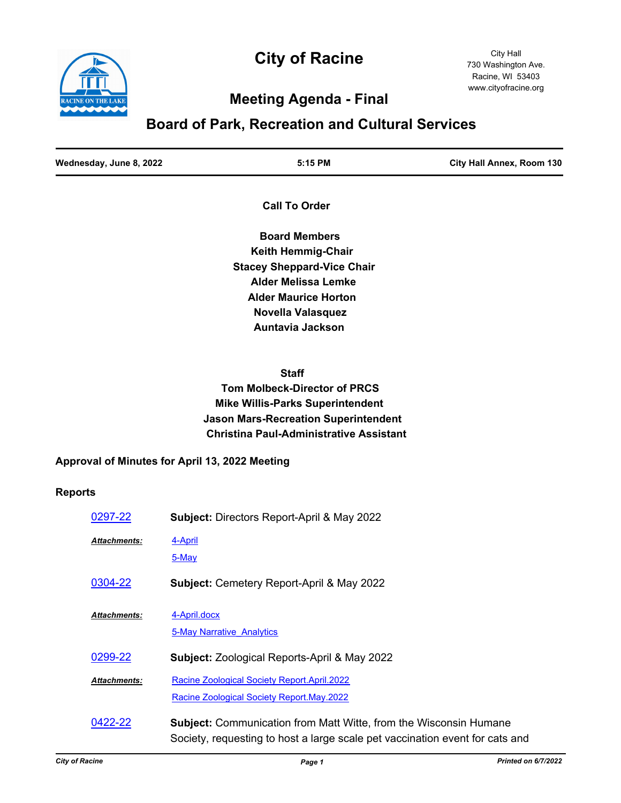

# **City of Racine**

City Hall 730 Washington Ave. Racine, WI 53403 www.cityofracine.org

# **Meeting Agenda - Final**

# **Board of Park, Recreation and Cultural Services**

| Wednesday, June 8, 2022 | 5:15 PM | City Hall Annex, Room 130 |
|-------------------------|---------|---------------------------|
|                         |         |                           |

 **Call To Order**

 **Board Members Keith Hemmig-Chair Stacey Sheppard-Vice Chair Alder Melissa Lemke Alder Maurice Horton Novella Valasquez Auntavia Jackson**

 **Staff Tom Molbeck-Director of PRCS Mike Willis-Parks Superintendent Jason Mars-Recreation Superintendent Christina Paul-Administrative Assistant**

## **Approval of Minutes for April 13, 2022 Meeting**

### **Reports**

| 0297-22             | <b>Subject: Directors Report-April &amp; May 2022</b>                                                                                                    |
|---------------------|----------------------------------------------------------------------------------------------------------------------------------------------------------|
| <b>Attachments:</b> | 4-April<br>5-May                                                                                                                                         |
| 0304-22             | <b>Subject: Cemetery Report-April &amp; May 2022</b>                                                                                                     |
| <b>Attachments:</b> | 4-April.docx<br><b>5-May Narrative Analytics</b>                                                                                                         |
| 0299-22             | <b>Subject: Zoological Reports-April &amp; May 2022</b>                                                                                                  |
| Attachments:        | Racine Zoological Society Report.April.2022<br>Racine Zoological Society Report.May.2022                                                                 |
| 0422-22             | <b>Subject:</b> Communication from Matt Witte, from the Wisconsin Humane<br>Society, requesting to host a large scale pet vaccination event for cats and |